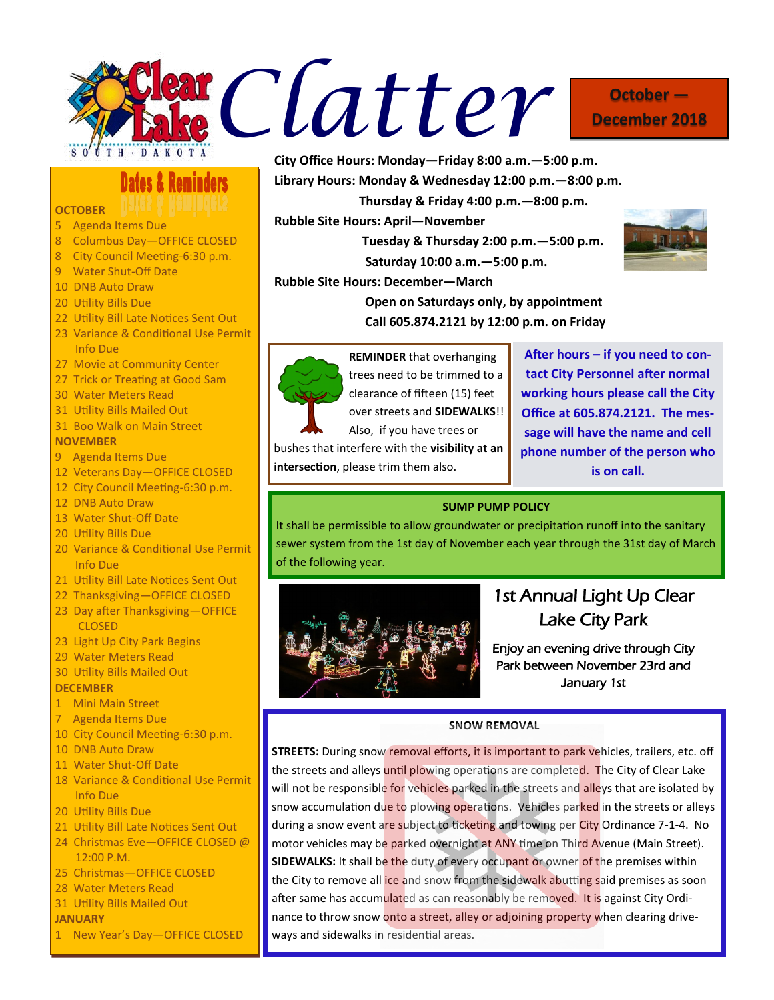

# **December 2018**

**Dates & Reminders** 

### **OCTOBER**

- 5 Agenda Items Due
- 8 Columbus Day—OFFICE CLOSED
- 8 City Council Meeting-6:30 p.m.
- 9 Water Shut-Off Date
- 10 DNB Auto Draw
- 20 Utility Bills Due
- 22 Utility Bill Late Notices Sent Out
- 23 Variance & Conditional Use Permit Info Due
- 27 Movie at Community Center
- 27 Trick or Treating at Good Sam
- 30 Water Meters Read
- 31 Utility Bills Mailed Out
- 31 Boo Walk on Main Street

### **NOVEMBER**

- 9 Agenda Items Due
- 12 Veterans Day—OFFICE CLOSED
- 12 City Council Meeting-6:30 p.m.
- 12 DNB Auto Draw
- 13 Water Shut-Off Date
- 20 Utility Bills Due
- 20 Variance & Conditional Use Permit Info Due
- 21 Utility Bill Late Notices Sent Out
- 22 Thanksgiving—OFFICE CLOSED
- 23 Day after Thanksgiving—OFFICE CLOSED
- 23 Light Up City Park Begins
- 29 Water Meters Read
- 30 Utility Bills Mailed Out

#### **DECEMBER**

### 1 Mini Main Street

- 7 Agenda Items Due
- 10 City Council Meeting-6:30 p.m.
- 10 DNB Auto Draw
- 11 Water Shut-Off Date
- 18 Variance & Conditional Use Permit Info Due
- 20 Utility Bills Due
- 21 Utility Bill Late Notices Sent Out
- 24 Christmas Eve—OFFICE CLOSED @ 12:00 P.M.
- 25 Christmas—OFFICE CLOSED
- 28 Water Meters Read
- 31 Utility Bills Mailed Out

### **JANUARY**

1 New Year's Day—OFFICE CLOSED

**City Office Hours: Monday—Friday 8:00 a.m.—5:00 p.m.**

**Library Hours: Monday & Wednesday 12:00 p.m.—8:00 p.m.**

 **Thursday & Friday 4:00 p.m.—8:00 p.m.**

**Rubble Site Hours: April—November**

 **Tuesday & Thursday 2:00 p.m.—5:00 p.m. Saturday 10:00 a.m.—5:00 p.m.**



**Rubble Site Hours: December—March**

**Open on Saturdays only, by appointment Call 605.874.2121 by 12:00 p.m. on Friday**



**REMINDER** that overhanging trees need to be trimmed to a clearance of fifteen (15) feet over streets and **SIDEWALKS**!!

Also, if you have trees or bushes that interfere with the **visibility at an intersection**, please trim them also.

**After hours – if you need to contact City Personnel after normal working hours please call the City Office at 605.874.2121. The message will have the name and cell phone number of the person who is on call.**

### **SUMP PUMP POLICY**

It shall be permissible to allow groundwater or precipitation runoff into the sanitary sewer system from the 1st day of November each year through the 31st day of March of the following year.



### 1st Annual Light Up Clear Lake City Park

Enjoy an evening drive through City Park between November 23rd and January 1st

### **SNOW REMOVAL**

**STREETS:** During snow removal efforts, it is important to park vehicles, trailers, etc. off the streets and alleys until plowing operations are completed. The City of Clear Lake will not be responsible for vehicles parked in the streets and alleys that are isolated by snow accumulation due to plowing operations. Vehicles parked in the streets or alleys during a snow event are subject to ticketing and towing per City Ordinance 7-1-4. No motor vehicles may be parked overnight at ANY time on Third Avenue (Main Street). **SIDEWALKS:** It shall be the duty of every occupant or owner of the premises within the City to remove all ice and snow from the sidewalk abutting said premises as soon after same has accumulated as can reasonably be removed. It is against City Ordinance to throw snow onto a street, alley or adjoining property when clearing driveways and sidewalks in residential areas.